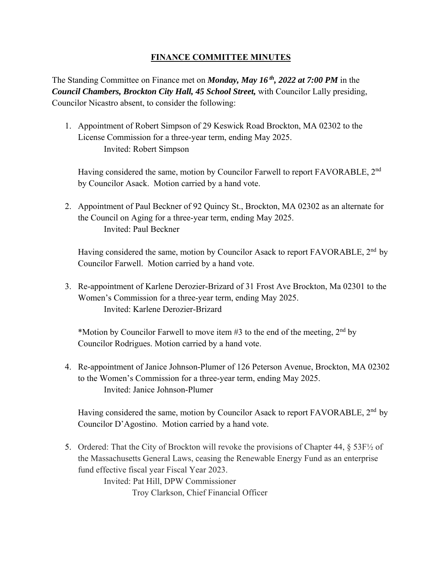## **FINANCE COMMITTEE MINUTES**

The Standing Committee on Finance met on *Monday, May 16 th, 2022 at 7:00 PM* in the *Council Chambers, Brockton City Hall, 45 School Street,* with Councilor Lally presiding, Councilor Nicastro absent, to consider the following:

1. Appointment of Robert Simpson of 29 Keswick Road Brockton, MA 02302 to the License Commission for a three-year term, ending May 2025. Invited: Robert Simpson

Having considered the same, motion by Councilor Farwell to report FAVORABLE, 2<sup>nd</sup> by Councilor Asack. Motion carried by a hand vote.

2. Appointment of Paul Beckner of 92 Quincy St., Brockton, MA 02302 as an alternate for the Council on Aging for a three-year term, ending May 2025. Invited: Paul Beckner

Having considered the same, motion by Councilor Asack to report FAVORABLE, 2<sup>nd</sup> by Councilor Farwell. Motion carried by a hand vote.

3. Re-appointment of Karlene Derozier-Brizard of 31 Frost Ave Brockton, Ma 02301 to the Women's Commission for a three-year term, ending May 2025. Invited: Karlene Derozier-Brizard

\*Motion by Councilor Farwell to move item #3 to the end of the meeting,  $2<sup>nd</sup>$  by Councilor Rodrigues. Motion carried by a hand vote.

4. Re-appointment of Janice Johnson-Plumer of 126 Peterson Avenue, Brockton, MA 02302 to the Women's Commission for a three-year term, ending May 2025. Invited: Janice Johnson-Plumer

Having considered the same, motion by Councilor Asack to report FAVORABLE, 2<sup>nd</sup> by Councilor D'Agostino. Motion carried by a hand vote.

5. Ordered: That the City of Brockton will revoke the provisions of Chapter 44, § 53F½ of the Massachusetts General Laws, ceasing the Renewable Energy Fund as an enterprise fund effective fiscal year Fiscal Year 2023. Invited: Pat Hill, DPW Commissioner Troy Clarkson, Chief Financial Officer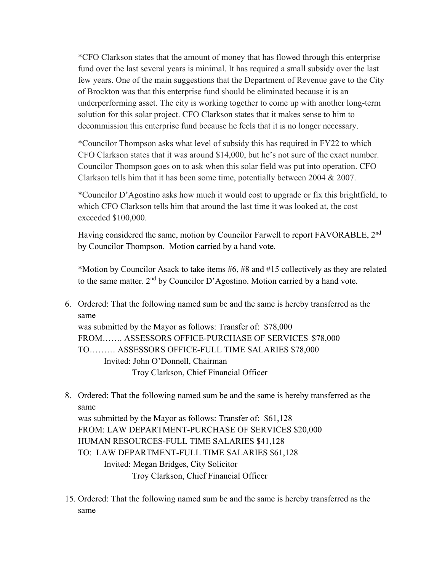\*CFO Clarkson states that the amount of money that has flowed through this enterprise fund over the last several years is minimal. It has required a small subsidy over the last few years. One of the main suggestions that the Department of Revenue gave to the City of Brockton was that this enterprise fund should be eliminated because it is an underperforming asset. The city is working together to come up with another long-term solution for this solar project. CFO Clarkson states that it makes sense to him to decommission this enterprise fund because he feels that it is no longer necessary.

\*Councilor Thompson asks what level of subsidy this has required in FY22 to which CFO Clarkson states that it was around \$14,000, but he's not sure of the exact number. Councilor Thompson goes on to ask when this solar field was put into operation. CFO Clarkson tells him that it has been some time, potentially between 2004 & 2007.

\*Councilor D'Agostino asks how much it would cost to upgrade or fix this brightfield, to which CFO Clarkson tells him that around the last time it was looked at, the cost exceeded \$100,000.

Having considered the same, motion by Councilor Farwell to report FAVORABLE, 2nd by Councilor Thompson. Motion carried by a hand vote.

\*Motion by Councilor Asack to take items #6, #8 and #15 collectively as they are related to the same matter. 2<sup>nd</sup> by Councilor D'Agostino. Motion carried by a hand vote.

- same 6. Ordered: That the following named sum be and the same is hereby transferred as the was submitted by the Mayor as follows: Transfer of: \$78,000 FROM……. ASSESSORS OFFICE-PURCHASE OF SERVICES \$78,000 TO……… ASSESSORS OFFICE-FULL TIME SALARIES \$78,000 Invited: John O'Donnell, Chairman Troy Clarkson, Chief Financial Officer
- same 8. Ordered: That the following named sum be and the same is hereby transferred as the

was submitted by the Mayor as follows: Transfer of: \$61,128 FROM: LAW DEPARTMENT-PURCHASE OF SERVICES \$20,000 HUMAN RESOURCES-FULL TIME SALARIES \$41,128 TO: LAW DEPARTMENT-FULL TIME SALARIES \$61,128 Invited: Megan Bridges, City Solicitor Troy Clarkson, Chief Financial Officer

 same15. Ordered: That the following named sum be and the same is hereby transferred as the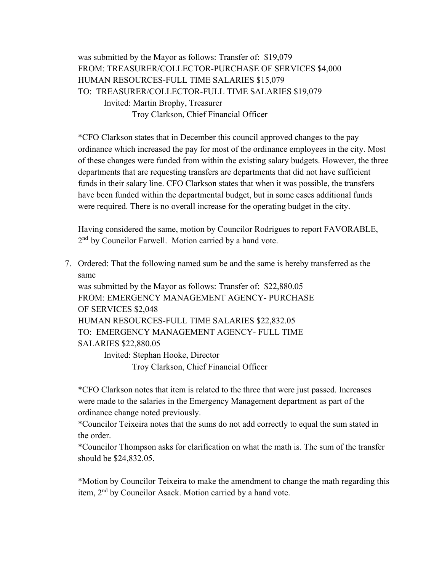was submitted by the Mayor as follows: Transfer of: \$19,079 FROM: TREASURER/COLLECTOR-PURCHASE OF SERVICES \$4,000 HUMAN RESOURCES-FULL TIME SALARIES \$15,079 TO: TREASURER/COLLECTOR-FULL TIME SALARIES \$19,079 Invited: Martin Brophy, Treasurer Troy Clarkson, Chief Financial Officer

\*CFO Clarkson states that in December this council approved changes to the pay ordinance which increased the pay for most of the ordinance employees in the city. Most of these changes were funded from within the existing salary budgets. However, the three departments that are requesting transfers are departments that did not have sufficient funds in their salary line. CFO Clarkson states that when it was possible, the transfers have been funded within the departmental budget, but in some cases additional funds were required. There is no overall increase for the operating budget in the city.

Having considered the same, motion by Councilor Rodrigues to report FAVORABLE, 2<sup>nd</sup> by Councilor Farwell. Motion carried by a hand vote.

 same 7. Ordered: That the following named sum be and the same is hereby transferred as the

was submitted by the Mayor as follows: Transfer of: \$22,880.05 FROM: EMERGENCY MANAGEMENT AGENCY- PURCHASE OF SERVICES \$2,048 HUMAN RESOURCES-FULL TIME SALARIES \$22,832.05 TO: EMERGENCY MANAGEMENT AGENCY- FULL TIME SALARIES \$22,880.05 Invited: Stephan Hooke, Director

Troy Clarkson, Chief Financial Officer

\*CFO Clarkson notes that item is related to the three that were just passed. Increases were made to the salaries in the Emergency Management department as part of the ordinance change noted previously.

\*Councilor Teixeira notes that the sums do not add correctly to equal the sum stated in the order.

\*Councilor Thompson asks for clarification on what the math is. The sum of the transfer should be \$24,832.05.

\*Motion by Councilor Teixeira to make the amendment to change the math regarding this item, 2nd by Councilor Asack. Motion carried by a hand vote.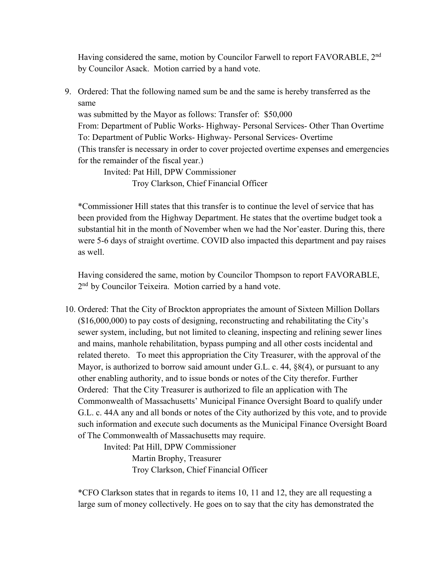Having considered the same, motion by Councilor Farwell to report FAVORABLE, 2<sup>nd</sup> by Councilor Asack. Motion carried by a hand vote.

 same 9. Ordered: That the following named sum be and the same is hereby transferred as the

was submitted by the Mayor as follows: Transfer of: \$50,000 From: Department of Public Works- Highway- Personal Services- Other Than Overtime To: Department of Public Works- Highway- Personal Services- Overtime (This transfer is necessary in order to cover projected overtime expenses and emergencies for the remainder of the fiscal year.)

Invited: Pat Hill, DPW Commissioner Troy Clarkson, Chief Financial Officer

\*Commissioner Hill states that this transfer is to continue the level of service that has been provided from the Highway Department. He states that the overtime budget took a substantial hit in the month of November when we had the Nor'easter. During this, there were 5-6 days of straight overtime. COVID also impacted this department and pay raises as well.

Having considered the same, motion by Councilor Thompson to report FAVORABLE, 2<sup>nd</sup> by Councilor Teixeira. Motion carried by a hand vote.

10. Ordered: That the City of Brockton appropriates the amount of Sixteen Million Dollars (\$16,000,000) to pay costs of designing, reconstructing and rehabilitating the City's sewer system, including, but not limited to cleaning, inspecting and relining sewer lines and mains, manhole rehabilitation, bypass pumping and all other costs incidental and related thereto. To meet this appropriation the City Treasurer, with the approval of the Mayor, is authorized to borrow said amount under G.L. c. 44, §8(4), or pursuant to any other enabling authority, and to issue bonds or notes of the City therefor. Further Ordered: That the City Treasurer is authorized to file an application with The Commonwealth of Massachusetts' Municipal Finance Oversight Board to qualify under G.L. c. 44A any and all bonds or notes of the City authorized by this vote, and to provide such information and execute such documents as the Municipal Finance Oversight Board of The Commonwealth of Massachusetts may require.

> Invited: Pat Hill, DPW Commissioner Martin Brophy, Treasurer Troy Clarkson, Chief Financial Officer

\*CFO Clarkson states that in regards to items 10, 11 and 12, they are all requesting a large sum of money collectively. He goes on to say that the city has demonstrated the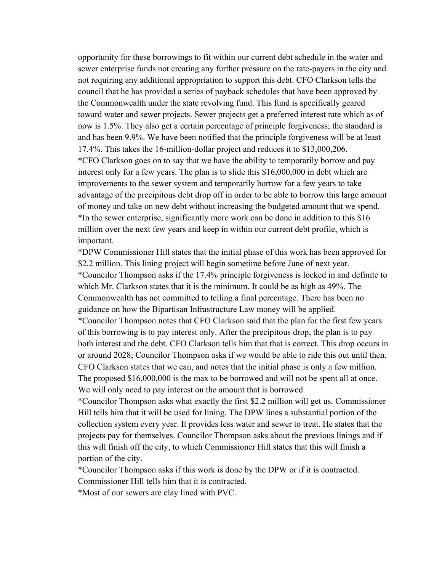opportunity for these borrowings to fit within our current debt schedule in the water and sewer enterprise funds not creating any further pressure on the rate-payers in the city and not requiring any additional appropriation to support this debt. CFO Clarkson tells the council that he has provided a series of payback schedules that have been approved by the Commonwealth under the state revolving fund. This fund is specifically geared toward water and sewer projects. Sewer projects get a preferred interest rate which as of now is 1.5%. They also get a certain percentage of principle forgiveness; the standard is and has been 9.9%. We have been notified that the principle forgiveness will be at least 17.4%. This takes the 16-million-dollar project and reduces it to \$13,000,206. \*CFO Clarkson goes on to say that we have the ability to temporarily borrow and pay interest only for a few years. The plan is to slide this \$16,000,000 in debt which are improvements to the sewer system and temporarily borrow for a few years to take advantage of the precipitous debt drop off in order to be able to borrow this large amount of money and take on new debt without increasing the budgeted amount that we spend. \*In the sewer enterprise, significantly more work can be done in addition to this \$16 million over the next few years and keep in within our current debt profile, which is important.

\*DPW Commissioner Hill states that the initial phase of this work has been approved for \$2.2 million. This lining project will begin sometime before June of next year. \*Councilor Thompson asks if the 17.4% principle forgiveness is locked in and definite to which Mr. Clarkson states that it is the minimum. It could be as high as 49%. The Commonwealth has not committed to telling a final percentage. There has been no guidance on how the Bipartisan Infrastructure Law money will be applied.

\*Councilor Thompson notes that CFO Clarkson said that the plan for the first few years of this borrowing is to pay interest only. After the precipitous drop, the plan is to pay both interest and the debt. CFO Clarkson tells him that that is correct. This drop occurs in or around 2028; Councilor Thompson asks if we would be able to ride this out until then. CFO Clarkson states that we can, and notes that the initial phase is only a few million. The proposed \$16,000,000 is the max to be borrowed and will not be spent all at once. We will only need to pay interest on the amount that is borrowed.

 \*Councilor Thompson asks what exactly the first \$2.2 million will get us. Commissioner Hill tells him that it will be used for lining. The DPW lines a substantial portion of the collection system every year. It provides less water and sewer to treat. He states that the projects pay for themselves. Councilor Thompson asks about the previous linings and if this will finish off the city, to which Commissioner Hill states that this will finish a portion of the city.

\*Councilor Thompson asks if this work is done by the DPW or if it is contracted. Commissioner Hill tells him that it is contracted.

\*Most of our sewers are clay lined with PVC.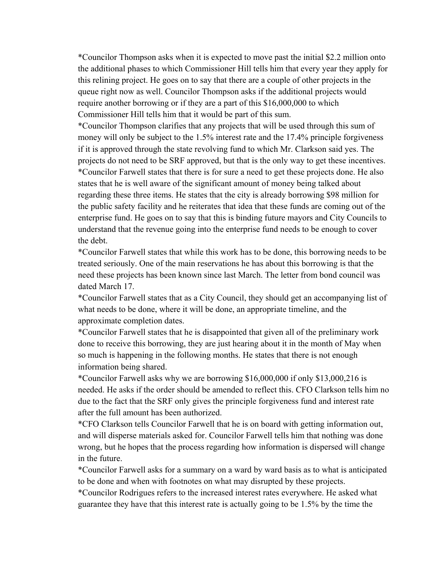\*Councilor Thompson asks when it is expected to move past the initial \$2.2 million onto the additional phases to which Commissioner Hill tells him that every year they apply for this relining project. He goes on to say that there are a couple of other projects in the queue right now as well. Councilor Thompson asks if the additional projects would require another borrowing or if they are a part of this \$16,000,000 to which Commissioner Hill tells him that it would be part of this sum.

\*Councilor Thompson clarifies that any projects that will be used through this sum of money will only be subject to the 1.5% interest rate and the 17.4% principle forgiveness if it is approved through the state revolving fund to which Mr. Clarkson said yes. The projects do not need to be SRF approved, but that is the only way to get these incentives. \*Councilor Farwell states that there is for sure a need to get these projects done. He also states that he is well aware of the significant amount of money being talked about regarding these three items. He states that the city is already borrowing \$98 million for the public safety facility and he reiterates that idea that these funds are coming out of the enterprise fund. He goes on to say that this is binding future mayors and City Councils to understand that the revenue going into the enterprise fund needs to be enough to cover the debt.

\*Councilor Farwell states that while this work has to be done, this borrowing needs to be treated seriously. One of the main reservations he has about this borrowing is that the need these projects has been known since last March. The letter from bond council was dated March 17.

\*Councilor Farwell states that as a City Council, they should get an accompanying list of what needs to be done, where it will be done, an appropriate timeline, and the approximate completion dates.

\*Councilor Farwell states that he is disappointed that given all of the preliminary work done to receive this borrowing, they are just hearing about it in the month of May when so much is happening in the following months. He states that there is not enough information being shared.

\*Councilor Farwell asks why we are borrowing \$16,000,000 if only \$13,000,216 is needed. He asks if the order should be amended to reflect this. CFO Clarkson tells him no due to the fact that the SRF only gives the principle forgiveness fund and interest rate after the full amount has been authorized.

 and will disperse materials asked for. Councilor Farwell tells him that nothing was done \*CFO Clarkson tells Councilor Farwell that he is on board with getting information out, wrong, but he hopes that the process regarding how information is dispersed will change in the future.

\*Councilor Farwell asks for a summary on a ward by ward basis as to what is anticipated to be done and when with footnotes on what may disrupted by these projects.

\*Councilor Rodrigues refers to the increased interest rates everywhere. He asked what guarantee they have that this interest rate is actually going to be 1.5% by the time the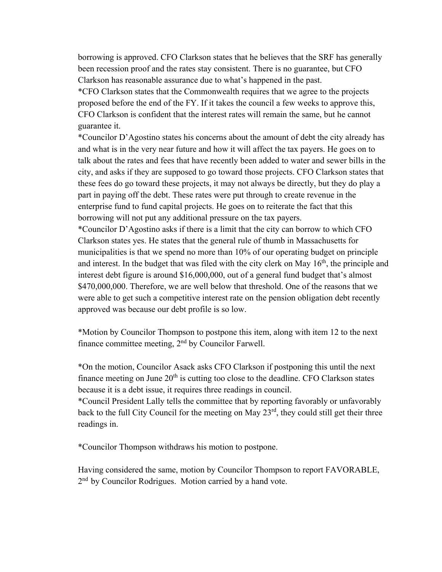borrowing is approved. CFO Clarkson states that he believes that the SRF has generally been recession proof and the rates stay consistent. There is no guarantee, but CFO Clarkson has reasonable assurance due to what's happened in the past.

\*CFO Clarkson states that the Commonwealth requires that we agree to the projects proposed before the end of the FY. If it takes the council a few weeks to approve this, CFO Clarkson is confident that the interest rates will remain the same, but he cannot guarantee it.

\*Councilor D'Agostino states his concerns about the amount of debt the city already has and what is in the very near future and how it will affect the tax payers. He goes on to talk about the rates and fees that have recently been added to water and sewer bills in the city, and asks if they are supposed to go toward those projects. CFO Clarkson states that these fees do go toward these projects, it may not always be directly, but they do play a part in paying off the debt. These rates were put through to create revenue in the enterprise fund to fund capital projects. He goes on to reiterate the fact that this borrowing will not put any additional pressure on the tax payers.

\*Councilor D'Agostino asks if there is a limit that the city can borrow to which CFO Clarkson states yes. He states that the general rule of thumb in Massachusetts for municipalities is that we spend no more than 10% of our operating budget on principle and interest. In the budget that was filed with the city clerk on May  $16<sup>th</sup>$ , the principle and interest debt figure is around \$16,000,000, out of a general fund budget that's almost \$470,000,000. Therefore, we are well below that threshold. One of the reasons that we were able to get such a competitive interest rate on the pension obligation debt recently approved was because our debt profile is so low.

\*Motion by Councilor Thompson to postpone this item, along with item 12 to the next finance committee meeting, 2nd by Councilor Farwell.

\*On the motion, Councilor Asack asks CFO Clarkson if postponing this until the next finance meeting on June  $20<sup>th</sup>$  is cutting too close to the deadline. CFO Clarkson states because it is a debt issue, it requires three readings in council.

\*Council President Lally tells the committee that by reporting favorably or unfavorably back to the full City Council for the meeting on May 23<sup>rd</sup>, they could still get their three readings in.

\*Councilor Thompson withdraws his motion to postpone.

Having considered the same, motion by Councilor Thompson to report FAVORABLE, 2<sup>nd</sup> by Councilor Rodrigues. Motion carried by a hand vote.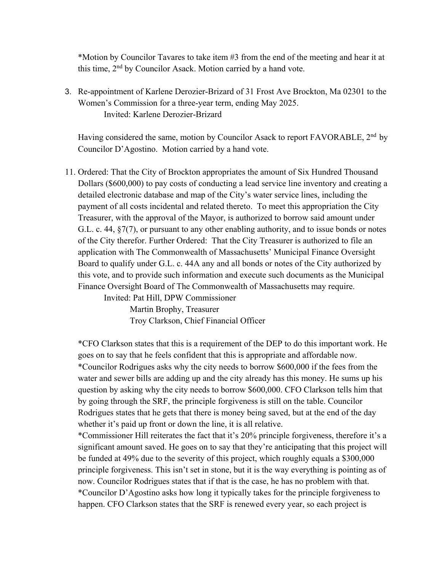\*Motion by Councilor Tavares to take item #3 from the end of the meeting and hear it at this time, 2nd by Councilor Asack. Motion carried by a hand vote.

3. Re-appointment of Karlene Derozier-Brizard of 31 Frost Ave Brockton, Ma 02301 to the Women's Commission for a three-year term, ending May 2025. Invited: Karlene Derozier-Brizard

Having considered the same, motion by Councilor Asack to report FAVORABLE, 2<sup>nd</sup> by Councilor D'Agostino. Motion carried by a hand vote.

11. Ordered: That the City of Brockton appropriates the amount of Six Hundred Thousand Dollars (\$600,000) to pay costs of conducting a lead service line inventory and creating a detailed electronic database and map of the City's water service lines, including the payment of all costs incidental and related thereto. To meet this appropriation the City Treasurer, with the approval of the Mayor, is authorized to borrow said amount under G.L. c. 44, §7(7), or pursuant to any other enabling authority, and to issue bonds or notes of the City therefor. Further Ordered: That the City Treasurer is authorized to file an application with The Commonwealth of Massachusetts' Municipal Finance Oversight Board to qualify under G.L. c. 44A any and all bonds or notes of the City authorized by this vote, and to provide such information and execute such documents as the Municipal Finance Oversight Board of The Commonwealth of Massachusetts may require.

Invited: Pat Hill, DPW Commissioner Martin Brophy, Treasurer Troy Clarkson, Chief Financial Officer

\*CFO Clarkson states that this is a requirement of the DEP to do this important work. He goes on to say that he feels confident that this is appropriate and affordable now. \*Councilor Rodrigues asks why the city needs to borrow \$600,000 if the fees from the water and sewer bills are adding up and the city already has this money. He sums up his question by asking why the city needs to borrow \$600,000. CFO Clarkson tells him that by going through the SRF, the principle forgiveness is still on the table. Councilor Rodrigues states that he gets that there is money being saved, but at the end of the day whether it's paid up front or down the line, it is all relative.

\*Commissioner Hill reiterates the fact that it's 20% principle forgiveness, therefore it's a significant amount saved. He goes on to say that they're anticipating that this project will be funded at 49% due to the severity of this project, which roughly equals a \$300,000 principle forgiveness. This isn't set in stone, but it is the way everything is pointing as of now. Councilor Rodrigues states that if that is the case, he has no problem with that. \*Councilor D'Agostino asks how long it typically takes for the principle forgiveness to happen. CFO Clarkson states that the SRF is renewed every year, so each project is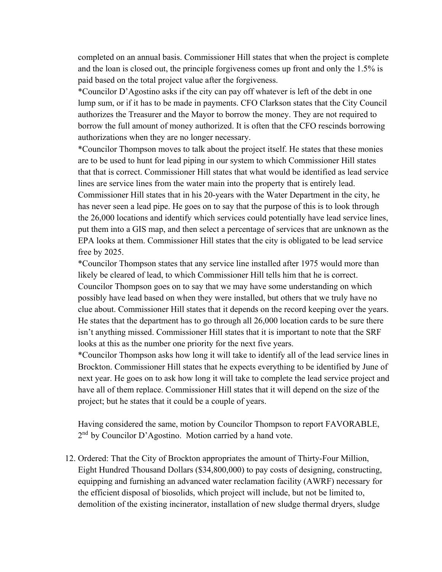completed on an annual basis. Commissioner Hill states that when the project is complete and the loan is closed out, the principle forgiveness comes up front and only the 1.5% is paid based on the total project value after the forgiveness.

\*Councilor D'Agostino asks if the city can pay off whatever is left of the debt in one lump sum, or if it has to be made in payments. CFO Clarkson states that the City Council authorizes the Treasurer and the Mayor to borrow the money. They are not required to borrow the full amount of money authorized. It is often that the CFO rescinds borrowing authorizations when they are no longer necessary.

\*Councilor Thompson moves to talk about the project itself. He states that these monies are to be used to hunt for lead piping in our system to which Commissioner Hill states that that is correct. Commissioner Hill states that what would be identified as lead service lines are service lines from the water main into the property that is entirely lead. Commissioner Hill states that in his 20-years with the Water Department in the city, he has never seen a lead pipe. He goes on to say that the purpose of this is to look through the 26,000 locations and identify which services could potentially have lead service lines, put them into a GIS map, and then select a percentage of services that are unknown as the EPA looks at them. Commissioner Hill states that the city is obligated to be lead service free by 2025.

\*Councilor Thompson states that any service line installed after 1975 would more than likely be cleared of lead, to which Commissioner Hill tells him that he is correct. Councilor Thompson goes on to say that we may have some understanding on which possibly have lead based on when they were installed, but others that we truly have no clue about. Commissioner Hill states that it depends on the record keeping over the years. He states that the department has to go through all 26,000 location cards to be sure there isn't anything missed. Commissioner Hill states that it is important to note that the SRF looks at this as the number one priority for the next five years.

\*Councilor Thompson asks how long it will take to identify all of the lead service lines in Brockton. Commissioner Hill states that he expects everything to be identified by June of next year. He goes on to ask how long it will take to complete the lead service project and have all of them replace. Commissioner Hill states that it will depend on the size of the project; but he states that it could be a couple of years.

Having considered the same, motion by Councilor Thompson to report FAVORABLE,  $2<sup>nd</sup>$  by Councilor D'Agostino. Motion carried by a hand vote.

12. Ordered: That the City of Brockton appropriates the amount of Thirty-Four Million, Eight Hundred Thousand Dollars (\$34,800,000) to pay costs of designing, constructing, equipping and furnishing an advanced water reclamation facility (AWRF) necessary for the efficient disposal of biosolids, which project will include, but not be limited to, demolition of the existing incinerator, installation of new sludge thermal dryers, sludge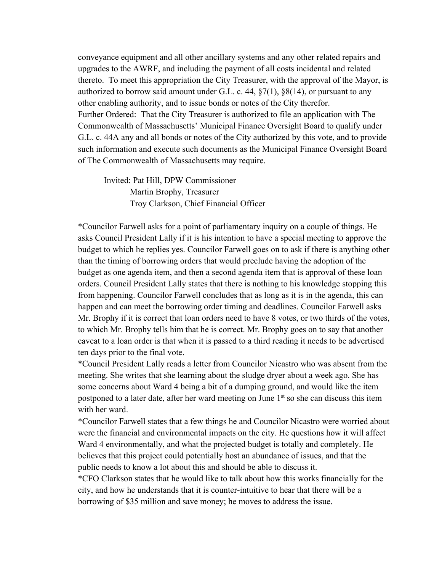conveyance equipment and all other ancillary systems and any other related repairs and upgrades to the AWRF, and including the payment of all costs incidental and related thereto. To meet this appropriation the City Treasurer, with the approval of the Mayor, is authorized to borrow said amount under G.L. c. 44, §7(1), §8(14), or pursuant to any other enabling authority, and to issue bonds or notes of the City therefor. Further Ordered: That the City Treasurer is authorized to file an application with The Commonwealth of Massachusetts' Municipal Finance Oversight Board to qualify under G.L. c. 44A any and all bonds or notes of the City authorized by this vote, and to provide such information and execute such documents as the Municipal Finance Oversight Board of The Commonwealth of Massachusetts may require.

Invited: Pat Hill, DPW Commissioner Martin Brophy, Treasurer Troy Clarkson, Chief Financial Officer

\*Councilor Farwell asks for a point of parliamentary inquiry on a couple of things. He asks Council President Lally if it is his intention to have a special meeting to approve the budget to which he replies yes. Councilor Farwell goes on to ask if there is anything other than the timing of borrowing orders that would preclude having the adoption of the budget as one agenda item, and then a second agenda item that is approval of these loan orders. Council President Lally states that there is nothing to his knowledge stopping this from happening. Councilor Farwell concludes that as long as it is in the agenda, this can happen and can meet the borrowing order timing and deadlines. Councilor Farwell asks Mr. Brophy if it is correct that loan orders need to have 8 votes, or two thirds of the votes, to which Mr. Brophy tells him that he is correct. Mr. Brophy goes on to say that another caveat to a loan order is that when it is passed to a third reading it needs to be advertised ten days prior to the final vote.

\*Council President Lally reads a letter from Councilor Nicastro who was absent from the meeting. She writes that she learning about the sludge dryer about a week ago. She has some concerns about Ward 4 being a bit of a dumping ground, and would like the item postponed to a later date, after her ward meeting on June  $1<sup>st</sup>$  so she can discuss this item with her ward.

\*Councilor Farwell states that a few things he and Councilor Nicastro were worried about were the financial and environmental impacts on the city. He questions how it will affect Ward 4 environmentally, and what the projected budget is totally and completely. He believes that this project could potentially host an abundance of issues, and that the public needs to know a lot about this and should be able to discuss it.

\*CFO Clarkson states that he would like to talk about how this works financially for the city, and how he understands that it is counter-intuitive to hear that there will be a borrowing of \$35 million and save money; he moves to address the issue.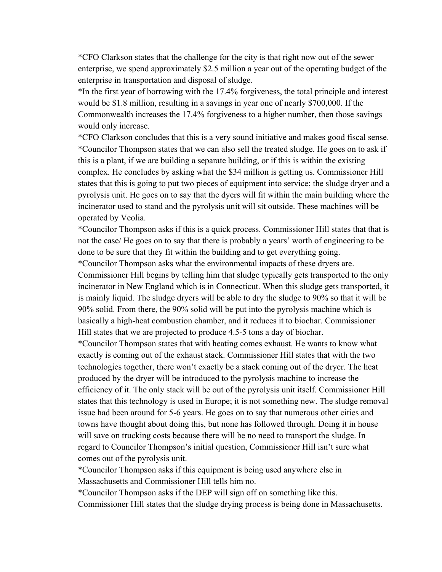\*CFO Clarkson states that the challenge for the city is that right now out of the sewer enterprise, we spend approximately \$2.5 million a year out of the operating budget of the enterprise in transportation and disposal of sludge.

\*In the first year of borrowing with the 17.4% forgiveness, the total principle and interest would be \$1.8 million, resulting in a savings in year one of nearly \$700,000. If the Commonwealth increases the 17.4% forgiveness to a higher number, then those savings would only increase.

\*CFO Clarkson concludes that this is a very sound initiative and makes good fiscal sense. \*Councilor Thompson states that we can also sell the treated sludge. He goes on to ask if this is a plant, if we are building a separate building, or if this is within the existing complex. He concludes by asking what the \$34 million is getting us. Commissioner Hill states that this is going to put two pieces of equipment into service; the sludge dryer and a pyrolysis unit. He goes on to say that the dyers will fit within the main building where the incinerator used to stand and the pyrolysis unit will sit outside. These machines will be operated by Veolia.

\*Councilor Thompson asks if this is a quick process. Commissioner Hill states that that is not the case/ He goes on to say that there is probably a years' worth of engineering to be done to be sure that they fit within the building and to get everything going.

\*Councilor Thompson asks what the environmental impacts of these dryers are. Commissioner Hill begins by telling him that sludge typically gets transported to the only incinerator in New England which is in Connecticut. When this sludge gets transported, it is mainly liquid. The sludge dryers will be able to dry the sludge to 90% so that it will be 90% solid. From there, the 90% solid will be put into the pyrolysis machine which is basically a high-heat combustion chamber, and it reduces it to biochar. Commissioner Hill states that we are projected to produce 4.5-5 tons a day of biochar.

\*Councilor Thompson states that with heating comes exhaust. He wants to know what exactly is coming out of the exhaust stack. Commissioner Hill states that with the two technologies together, there won't exactly be a stack coming out of the dryer. The heat produced by the dryer will be introduced to the pyrolysis machine to increase the efficiency of it. The only stack will be out of the pyrolysis unit itself. Commissioner Hill states that this technology is used in Europe; it is not something new. The sludge removal issue had been around for 5-6 years. He goes on to say that numerous other cities and towns have thought about doing this, but none has followed through. Doing it in house will save on trucking costs because there will be no need to transport the sludge. In regard to Councilor Thompson's initial question, Commissioner Hill isn't sure what comes out of the pyrolysis unit.

\*Councilor Thompson asks if this equipment is being used anywhere else in Massachusetts and Commissioner Hill tells him no.

\*Councilor Thompson asks if the DEP will sign off on something like this. Commissioner Hill states that the sludge drying process is being done in Massachusetts.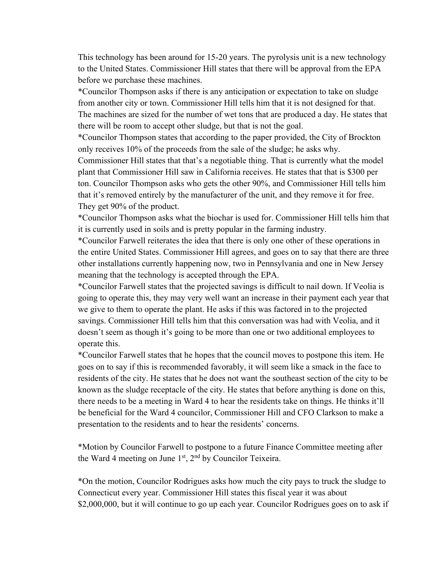This technology has been around for 15-20 years. The pyrolysis unit is a new technology to the United States. Commissioner Hill states that there will be approval from the EPA before we purchase these machines.

\*Councilor Thompson asks if there is any anticipation or expectation to take on sludge from another city or town. Commissioner Hill tells him that it is not designed for that. The machines are sized for the number of wet tons that are produced a day. He states that there will be room to accept other sludge, but that is not the goal.

\*Councilor Thompson states that according to the paper provided, the City of Brockton only receives 10% of the proceeds from the sale of the sludge; he asks why.

Commissioner Hill states that that's a negotiable thing. That is currently what the model plant that Commissioner Hill saw in California receives. He states that that is \$300 per ton. Councilor Thompson asks who gets the other 90%, and Commissioner Hill tells him that it's removed entirely by the manufacturer of the unit, and they remove it for free. They get 90% of the product.

\*Councilor Thompson asks what the biochar is used for. Commissioner Hill tells him that it is currently used in soils and is pretty popular in the farming industry.

\*Councilor Farwell reiterates the idea that there is only one other of these operations in the entire United States. Commissioner Hill agrees, and goes on to say that there are three other installations currently happening now, two in Pennsylvania and one in New Jersey meaning that the technology is accepted through the EPA.

\*Councilor Farwell states that the projected savings is difficult to nail down. If Veolia is going to operate this, they may very well want an increase in their payment each year that we give to them to operate the plant. He asks if this was factored in to the projected savings. Commissioner Hill tells him that this conversation was had with Veolia, and it doesn't seem as though it's going to be more than one or two additional employees to operate this.

\*Councilor Farwell states that he hopes that the council moves to postpone this item. He goes on to say if this is recommended favorably, it will seem like a smack in the face to residents of the city. He states that he does not want the southeast section of the city to be known as the sludge receptacle of the city. He states that before anything is done on this, there needs to be a meeting in Ward 4 to hear the residents take on things. He thinks it'll be beneficial for the Ward 4 councilor, Commissioner Hill and CFO Clarkson to make a presentation to the residents and to hear the residents' concerns.

\*Motion by Councilor Farwell to postpone to a future Finance Committee meeting after the Ward 4 meeting on June  $1<sup>st</sup>$ ,  $2<sup>nd</sup>$  by Councilor Teixeira.

\*On the motion, Councilor Rodrigues asks how much the city pays to truck the sludge to Connecticut every year. Commissioner Hill states this fiscal year it was about \$2,000,000, but it will continue to go up each year. Councilor Rodrigues goes on to ask if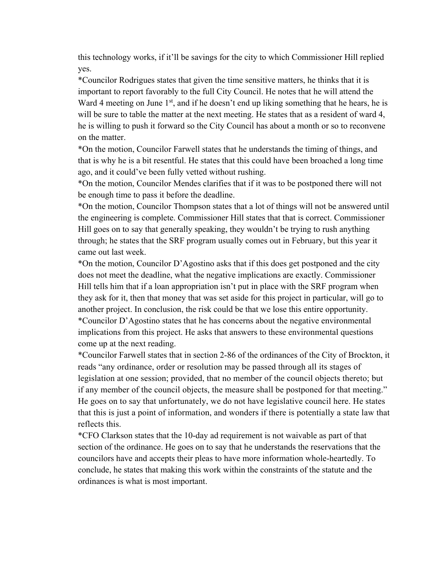this technology works, if it'll be savings for the city to which Commissioner Hill replied yes.

\*Councilor Rodrigues states that given the time sensitive matters, he thinks that it is important to report favorably to the full City Council. He notes that he will attend the Ward 4 meeting on June  $1<sup>st</sup>$ , and if he doesn't end up liking something that he hears, he is will be sure to table the matter at the next meeting. He states that as a resident of ward 4, he is willing to push it forward so the City Council has about a month or so to reconvene on the matter.

\*On the motion, Councilor Farwell states that he understands the timing of things, and that is why he is a bit resentful. He states that this could have been broached a long time ago, and it could've been fully vetted without rushing.

\*On the motion, Councilor Mendes clarifies that if it was to be postponed there will not be enough time to pass it before the deadline.

\*On the motion, Councilor Thompson states that a lot of things will not be answered until the engineering is complete. Commissioner Hill states that that is correct. Commissioner Hill goes on to say that generally speaking, they wouldn't be trying to rush anything through; he states that the SRF program usually comes out in February, but this year it came out last week.

\*On the motion, Councilor D'Agostino asks that if this does get postponed and the city does not meet the deadline, what the negative implications are exactly. Commissioner Hill tells him that if a loan appropriation isn't put in place with the SRF program when they ask for it, then that money that was set aside for this project in particular, will go to another project. In conclusion, the risk could be that we lose this entire opportunity. \*Councilor D'Agostino states that he has concerns about the negative environmental implications from this project. He asks that answers to these environmental questions come up at the next reading.

 that this is just a point of information, and wonders if there is potentially a state law that \*Councilor Farwell states that in section 2-86 of the ordinances of the City of Brockton, it reads "any ordinance, order or resolution may be passed through all its stages of legislation at one session; provided, that no member of the council objects thereto; but if any member of the council objects, the measure shall be postponed for that meeting." He goes on to say that unfortunately, we do not have legislative council here. He states reflects this.

\*CFO Clarkson states that the 10-day ad requirement is not waivable as part of that section of the ordinance. He goes on to say that he understands the reservations that the councilors have and accepts their pleas to have more information whole-heartedly. To conclude, he states that making this work within the constraints of the statute and the ordinances is what is most important.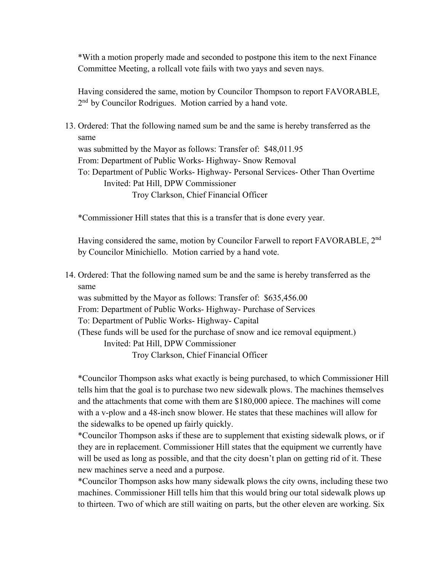\*With a motion properly made and seconded to postpone this item to the next Finance Committee Meeting, a rollcall vote fails with two yays and seven nays.

Having considered the same, motion by Councilor Thompson to report FAVORABLE, 2<sup>nd</sup> by Councilor Rodrigues. Motion carried by a hand vote.

 same 13. Ordered: That the following named sum be and the same is hereby transferred as the

was submitted by the Mayor as follows: Transfer of: \$48,011.95

From: Department of Public Works- Highway- Snow Removal

To: Department of Public Works- Highway- Personal Services- Other Than Overtime Invited: Pat Hill, DPW Commissioner

Troy Clarkson, Chief Financial Officer

\*Commissioner Hill states that this is a transfer that is done every year.

Having considered the same, motion by Councilor Farwell to report FAVORABLE, 2<sup>nd</sup> by Councilor Minichiello. Motion carried by a hand vote.

 same 14. Ordered: That the following named sum be and the same is hereby transferred as the

was submitted by the Mayor as follows: Transfer of: \$635,456.00

From: Department of Public Works- Highway- Purchase of Services

To: Department of Public Works- Highway- Capital

(These funds will be used for the purchase of snow and ice removal equipment.)

Invited: Pat Hill, DPW Commissioner

Troy Clarkson, Chief Financial Officer

\*Councilor Thompson asks what exactly is being purchased, to which Commissioner Hill tells him that the goal is to purchase two new sidewalk plows. The machines themselves and the attachments that come with them are \$180,000 apiece. The machines will come with a v-plow and a 48-inch snow blower. He states that these machines will allow for the sidewalks to be opened up fairly quickly.

\*Councilor Thompson asks if these are to supplement that existing sidewalk plows, or if they are in replacement. Commissioner Hill states that the equipment we currently have will be used as long as possible, and that the city doesn't plan on getting rid of it. These new machines serve a need and a purpose.

\*Councilor Thompson asks how many sidewalk plows the city owns, including these two machines. Commissioner Hill tells him that this would bring our total sidewalk plows up to thirteen. Two of which are still waiting on parts, but the other eleven are working. Six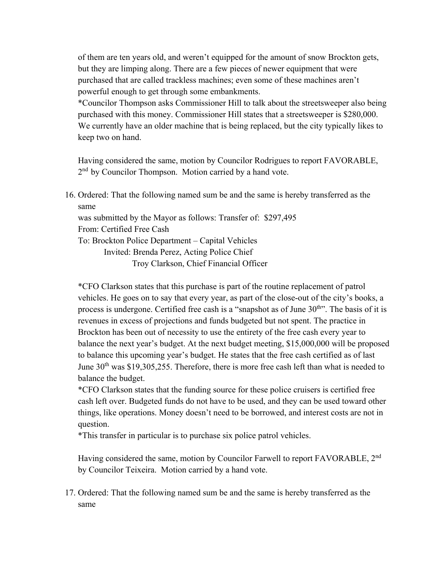of them are ten years old, and weren't equipped for the amount of snow Brockton gets, but they are limping along. There are a few pieces of newer equipment that were purchased that are called trackless machines; even some of these machines aren't powerful enough to get through some embankments.

\*Councilor Thompson asks Commissioner Hill to talk about the streetsweeper also being purchased with this money. Commissioner Hill states that a streetsweeper is \$280,000. We currently have an older machine that is being replaced, but the city typically likes to keep two on hand.

Having considered the same, motion by Councilor Rodrigues to report FAVORABLE, 2<sup>nd</sup> by Councilor Thompson. Motion carried by a hand vote.

 same 16. Ordered: That the following named sum be and the same is hereby transferred as the was submitted by the Mayor as follows: Transfer of: \$297,495 From: Certified Free Cash To: Brockton Police Department – Capital Vehicles Invited: Brenda Perez, Acting Police Chief Troy Clarkson, Chief Financial Officer

\*CFO Clarkson states that this purchase is part of the routine replacement of patrol vehicles. He goes on to say that every year, as part of the close-out of the city's books, a process is undergone. Certified free cash is a "snapshot as of June  $30<sup>th</sup>$ ". The basis of it is revenues in excess of projections and funds budgeted but not spent. The practice in Brockton has been out of necessity to use the entirety of the free cash every year to balance the next year's budget. At the next budget meeting, \$15,000,000 will be proposed to balance this upcoming year's budget. He states that the free cash certified as of last June  $30<sup>th</sup>$  was \$19,305,255. Therefore, there is more free cash left than what is needed to balance the budget.

\*CFO Clarkson states that the funding source for these police cruisers is certified free cash left over. Budgeted funds do not have to be used, and they can be used toward other things, like operations. Money doesn't need to be borrowed, and interest costs are not in question.

\*This transfer in particular is to purchase six police patrol vehicles.

Having considered the same, motion by Councilor Farwell to report FAVORABLE, 2nd by Councilor Teixeira. Motion carried by a hand vote.

 same17. Ordered: That the following named sum be and the same is hereby transferred as the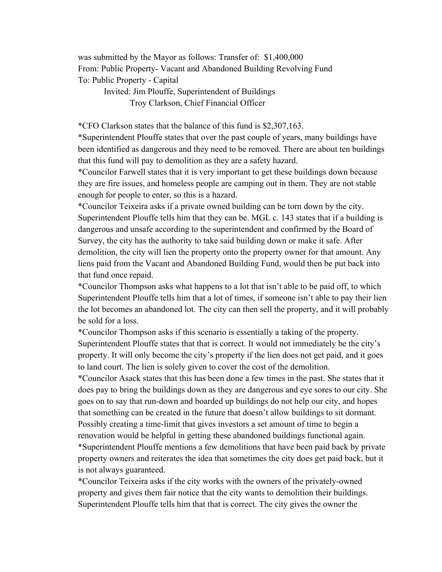was submitted by the Mayor as follows: Transfer of: \$1,400,000 From: Public Property- Vacant and Abandoned Building Revolving Fund To: Public Property - Capital

Invited: Jim Plouffe, Superintendent of Buildings Troy Clarkson, Chief Financial Officer

\*CFO Clarkson states that the balance of this fund is \$2,307,163.

\*Superintendent Plouffe states that over the past couple of years, many buildings have been identified as dangerous and they need to be removed. There are about ten buildings that this fund will pay to demolition as they are a safety hazard.

\*Councilor Farwell states that it is very important to get these buildings down because they are fire issues, and homeless people are camping out in them. They are not stable enough for people to enter, so this is a hazard.

 Superintendent Plouffe tells him that they can be. MGL c. 143 states that if a building is \*Councilor Teixeira asks if a private owned building can be torn down by the city. dangerous and unsafe according to the superintendent and confirmed by the Board of Survey, the city has the authority to take said building down or make it safe. After demolition, the city will lien the property onto the property owner for that amount. Any liens paid from the Vacant and Abandoned Building Fund, would then be put back into that fund once repaid.

\*Councilor Thompson asks what happens to a lot that isn't able to be paid off, to which Superintendent Plouffe tells him that a lot of times, if someone isn't able to pay their lien the lot becomes an abandoned lot. The city can then sell the property, and it will probably be sold for a loss.

\*Councilor Thompson asks if this scenario is essentially a taking of the property. Superintendent Plouffe states that that is correct. It would not immediately be the city's property. It will only become the city's property if the lien does not get paid, and it goes to land court. The lien is solely given to cover the cost of the demolition.

\*Councilor Asack states that this has been done a few times in the past. She states that it does pay to bring the buildings down as they are dangerous and eye sores to our city. She goes on to say that run-down and boarded up buildings do not help our city, and hopes that something can be created in the future that doesn't allow buildings to sit dormant. Possibly creating a time-limit that gives investors a set amount of time to begin a renovation would be helpful in getting these abandoned buildings functional again. \*Superintendent Plouffe mentions a few demolitions that have been paid back by private property owners and reiterates the idea that sometimes the city does get paid back, but it is not always guaranteed.

\*Councilor Teixeira asks if the city works with the owners of the privately-owned property and gives them fair notice that the city wants to demolition their buildings. Superintendent Plouffe tells him that that is correct. The city gives the owner the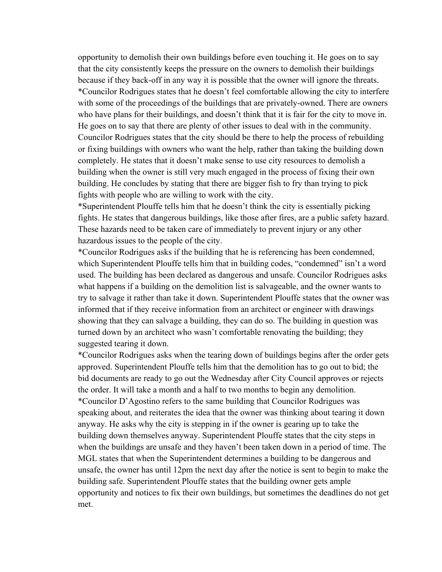opportunity to demolish their own buildings before even touching it. He goes on to say that the city consistently keeps the pressure on the owners to demolish their buildings because if they back-off in any way it is possible that the owner will ignore the threats. \*Councilor Rodrigues states that he doesn't feel comfortable allowing the city to interfere with some of the proceedings of the buildings that are privately-owned. There are owners who have plans for their buildings, and doesn't think that it is fair for the city to move in. He goes on to say that there are plenty of other issues to deal with in the community. Councilor Rodrigues states that the city should be there to help the process of rebuilding or fixing buildings with owners who want the help, rather than taking the building down completely. He states that it doesn't make sense to use city resources to demolish a building when the owner is still very much engaged in the process of fixing their own building. He concludes by stating that there are bigger fish to fry than trying to pick fights with people who are willing to work with the city.

\*Superintendent Plouffe tells him that he doesn't think the city is essentially picking fights. He states that dangerous buildings, like those after fires, are a public safety hazard. These hazards need to be taken care of immediately to prevent injury or any other hazardous issues to the people of the city.

\*Councilor Rodrigues asks if the building that he is referencing has been condemned, which Superintendent Plouffe tells him that in building codes, "condemned" isn't a word used. The building has been declared as dangerous and unsafe. Councilor Rodrigues asks what happens if a building on the demolition list is salvageable, and the owner wants to try to salvage it rather than take it down. Superintendent Plouffe states that the owner was informed that if they receive information from an architect or engineer with drawings showing that they can salvage a building, they can do so. The building in question was turned down by an architect who wasn't comfortable renovating the building; they suggested tearing it down.

 met.\*Councilor Rodrigues asks when the tearing down of buildings begins after the order gets approved. Superintendent Plouffe tells him that the demolition has to go out to bid; the bid documents are ready to go out the Wednesday after City Council approves or rejects the order. It will take a month and a half to two months to begin any demolition. \*Councilor D'Agostino refers to the same building that Councilor Rodrigues was speaking about, and reiterates the idea that the owner was thinking about tearing it down anyway. He asks why the city is stepping in if the owner is gearing up to take the building down themselves anyway. Superintendent Plouffe states that the city steps in when the buildings are unsafe and they haven't been taken down in a period of time. The MGL states that when the Superintendent determines a building to be dangerous and unsafe, the owner has until 12pm the next day after the notice is sent to begin to make the building safe. Superintendent Plouffe states that the building owner gets ample opportunity and notices to fix their own buildings, but sometimes the deadlines do not get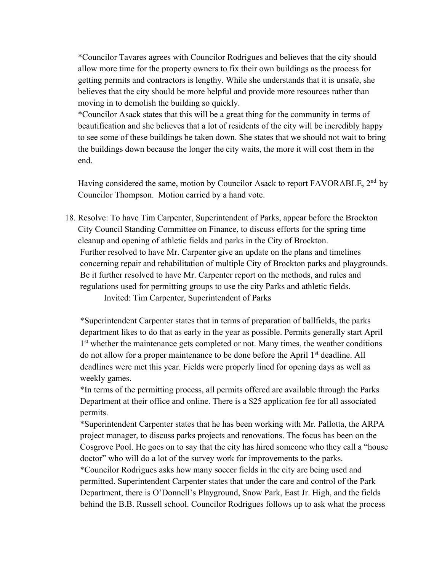\*Councilor Tavares agrees with Councilor Rodrigues and believes that the city should allow more time for the property owners to fix their own buildings as the process for getting permits and contractors is lengthy. While she understands that it is unsafe, she believes that the city should be more helpful and provide more resources rather than moving in to demolish the building so quickly.

\*Councilor Asack states that this will be a great thing for the community in terms of beautification and she believes that a lot of residents of the city will be incredibly happy to see some of these buildings be taken down. She states that we should not wait to bring the buildings down because the longer the city waits, the more it will cost them in the end.

Having considered the same, motion by Councilor Asack to report FAVORABLE, 2<sup>nd</sup> by Councilor Thompson. Motion carried by a hand vote.

18. Resolve: To have Tim Carpenter, Superintendent of Parks, appear before the Brockton City Council Standing Committee on Finance, to discuss efforts for the spring time cleanup and opening of athletic fields and parks in the City of Brockton. Further resolved to have Mr. Carpenter give an update on the plans and timelines concerning repair and rehabilitation of multiple City of Brockton parks and playgrounds. Be it further resolved to have Mr. Carpenter report on the methods, and rules and regulations used for permitting groups to use the city Parks and athletic fields.

Invited: Tim Carpenter, Superintendent of Parks

\*Superintendent Carpenter states that in terms of preparation of ballfields, the parks department likes to do that as early in the year as possible. Permits generally start April 1<sup>st</sup> whether the maintenance gets completed or not. Many times, the weather conditions do not allow for a proper maintenance to be done before the April 1<sup>st</sup> deadline. All deadlines were met this year. Fields were properly lined for opening days as well as weekly games.

\*In terms of the permitting process, all permits offered are available through the Parks Department at their office and online. There is a \$25 application fee for all associated permits.

\*Superintendent Carpenter states that he has been working with Mr. Pallotta, the ARPA project manager, to discuss parks projects and renovations. The focus has been on the Cosgrove Pool. He goes on to say that the city has hired someone who they call a "house doctor" who will do a lot of the survey work for improvements to the parks. \*Councilor Rodrigues asks how many soccer fields in the city are being used and permitted. Superintendent Carpenter states that under the care and control of the Park Department, there is O'Donnell's Playground, Snow Park, East Jr. High, and the fields behind the B.B. Russell school. Councilor Rodrigues follows up to ask what the process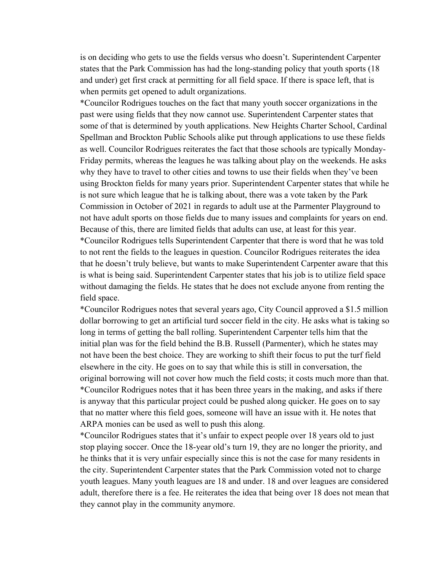is on deciding who gets to use the fields versus who doesn't. Superintendent Carpenter states that the Park Commission has had the long-standing policy that youth sports (18 and under) get first crack at permitting for all field space. If there is space left, that is when permits get opened to adult organizations.

\*Councilor Rodrigues touches on the fact that many youth soccer organizations in the past were using fields that they now cannot use. Superintendent Carpenter states that some of that is determined by youth applications. New Heights Charter School, Cardinal Spellman and Brockton Public Schools alike put through applications to use these fields as well. Councilor Rodrigues reiterates the fact that those schools are typically Monday-Friday permits, whereas the leagues he was talking about play on the weekends. He asks why they have to travel to other cities and towns to use their fields when they've been using Brockton fields for many years prior. Superintendent Carpenter states that while he is not sure which league that he is talking about, there was a vote taken by the Park Commission in October of 2021 in regards to adult use at the Parmenter Playground to not have adult sports on those fields due to many issues and complaints for years on end. Because of this, there are limited fields that adults can use, at least for this year. \*Councilor Rodrigues tells Superintendent Carpenter that there is word that he was told to not rent the fields to the leagues in question. Councilor Rodrigues reiterates the idea that he doesn't truly believe, but wants to make Superintendent Carpenter aware that this is what is being said. Superintendent Carpenter states that his job is to utilize field space without damaging the fields. He states that he does not exclude anyone from renting the field space.

\*Councilor Rodrigues notes that several years ago, City Council approved a \$1.5 million dollar borrowing to get an artificial turd soccer field in the city. He asks what is taking so long in terms of getting the ball rolling. Superintendent Carpenter tells him that the initial plan was for the field behind the B.B. Russell (Parmenter), which he states may not have been the best choice. They are working to shift their focus to put the turf field elsewhere in the city. He goes on to say that while this is still in conversation, the original borrowing will not cover how much the field costs; it costs much more than that. \*Councilor Rodrigues notes that it has been three years in the making, and asks if there is anyway that this particular project could be pushed along quicker. He goes on to say that no matter where this field goes, someone will have an issue with it. He notes that ARPA monies can be used as well to push this along.

\*Councilor Rodrigues states that it's unfair to expect people over 18 years old to just stop playing soccer. Once the 18-year old's turn 19, they are no longer the priority, and he thinks that it is very unfair especially since this is not the case for many residents in the city. Superintendent Carpenter states that the Park Commission voted not to charge youth leagues. Many youth leagues are 18 and under. 18 and over leagues are considered adult, therefore there is a fee. He reiterates the idea that being over 18 does not mean that they cannot play in the community anymore.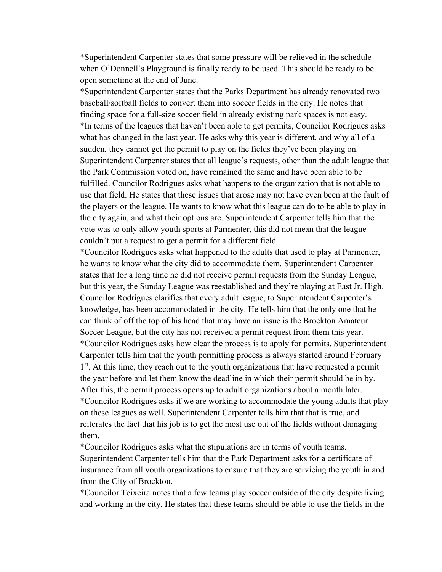\*Superintendent Carpenter states that some pressure will be relieved in the schedule when O'Donnell's Playground is finally ready to be used. This should be ready to be open sometime at the end of June.

\*Superintendent Carpenter states that the Parks Department has already renovated two baseball/softball fields to convert them into soccer fields in the city. He notes that finding space for a full-size soccer field in already existing park spaces is not easy. \*In terms of the leagues that haven't been able to get permits, Councilor Rodrigues asks what has changed in the last year. He asks why this year is different, and why all of a sudden, they cannot get the permit to play on the fields they've been playing on. Superintendent Carpenter states that all league's requests, other than the adult league that the Park Commission voted on, have remained the same and have been able to be fulfilled. Councilor Rodrigues asks what happens to the organization that is not able to use that field. He states that these issues that arose may not have even been at the fault of the players or the league. He wants to know what this league can do to be able to play in the city again, and what their options are. Superintendent Carpenter tells him that the vote was to only allow youth sports at Parmenter, this did not mean that the league couldn't put a request to get a permit for a different field.

\*Councilor Rodrigues asks what happened to the adults that used to play at Parmenter, he wants to know what the city did to accommodate them. Superintendent Carpenter states that for a long time he did not receive permit requests from the Sunday League, but this year, the Sunday League was reestablished and they're playing at East Jr. High. Councilor Rodrigues clarifies that every adult league, to Superintendent Carpenter's knowledge, has been accommodated in the city. He tells him that the only one that he can think of off the top of his head that may have an issue is the Brockton Amateur Soccer League, but the city has not received a permit request from them this year. \*Councilor Rodrigues asks how clear the process is to apply for permits. Superintendent Carpenter tells him that the youth permitting process is always started around February 1<sup>st</sup>. At this time, they reach out to the youth organizations that have requested a permit the year before and let them know the deadline in which their permit should be in by. After this, the permit process opens up to adult organizations about a month later. \*Councilor Rodrigues asks if we are working to accommodate the young adults that play on these leagues as well. Superintendent Carpenter tells him that that is true, and reiterates the fact that his job is to get the most use out of the fields without damaging them.

\*Councilor Rodrigues asks what the stipulations are in terms of youth teams. Superintendent Carpenter tells him that the Park Department asks for a certificate of insurance from all youth organizations to ensure that they are servicing the youth in and from the City of Brockton.

\*Councilor Teixeira notes that a few teams play soccer outside of the city despite living and working in the city. He states that these teams should be able to use the fields in the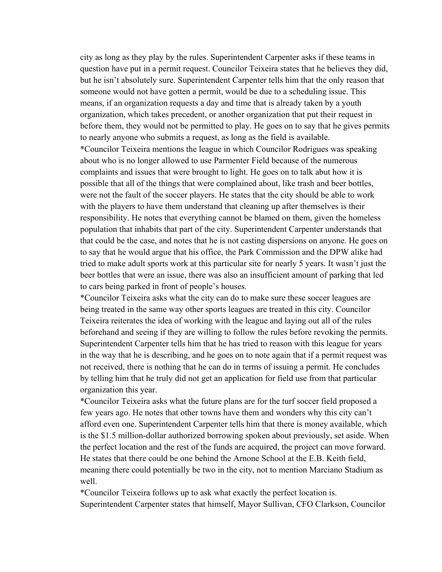city as long as they play by the rules. Superintendent Carpenter asks if these teams in question have put in a permit request. Councilor Teixeira states that he believes they did, but he isn't absolutely sure. Superintendent Carpenter tells him that the only reason that someone would not have gotten a permit, would be due to a scheduling issue. This means, if an organization requests a day and time that is already taken by a youth organization, which takes precedent, or another organization that put their request in before them, they would not be permitted to play. He goes on to say that he gives permits to nearly anyone who submits a request, as long as the field is available. \*Councilor Teixeira mentions the league in which Councilor Rodrigues was speaking about who is no longer allowed to use Parmenter Field because of the numerous complaints and issues that were brought to light. He goes on to talk abut how it is possible that all of the things that were complained about, like trash and beer bottles, were not the fault of the soccer players. He states that the city should be able to work with the players to have them understand that cleaning up after themselves is their responsibility. He notes that everything cannot be blamed on them, given the homeless population that inhabits that part of the city. Superintendent Carpenter understands that that could be the case, and notes that he is not casting dispersions on anyone. He goes on to say that he would argue that his office, the Park Commission and the DPW alike had tried to make adult sports work at this particular site for nearly 5 years. It wasn't just the beer bottles that were an issue, there was also an insufficient amount of parking that led to cars being parked in front of people's houses.

\*Councilor Teixeira asks what the city can do to make sure these soccer leagues are being treated in the same way other sports leagues are treated in this city. Councilor Teixeira reiterates the idea of working with the league and laying out all of the rules beforehand and seeing if they are willing to follow the rules before revoking the permits. Superintendent Carpenter tells him that he has tried to reason with this league for years in the way that he is describing, and he goes on to note again that if a permit request was not received, there is nothing that he can do in terms of issuing a permit. He concludes by telling him that he truly did not get an application for field use from that particular organization this year.

\*Councilor Teixeira asks what the future plans are for the turf soccer field proposed a few years ago. He notes that other towns have them and wonders why this city can't afford even one. Superintendent Carpenter tells him that there is money available, which is the \$1.5 million-dollar authorized borrowing spoken about previously, set aside. When the perfect location and the rest of the funds are acquired, the project can move forward. He states that there could be one behind the Arnone School at the E.B. Keith field, meaning there could potentially be two in the city, not to mention Marciano Stadium as well.

\*Councilor Teixeira follows up to ask what exactly the perfect location is. Superintendent Carpenter states that himself, Mayor Sullivan, CFO Clarkson, Councilor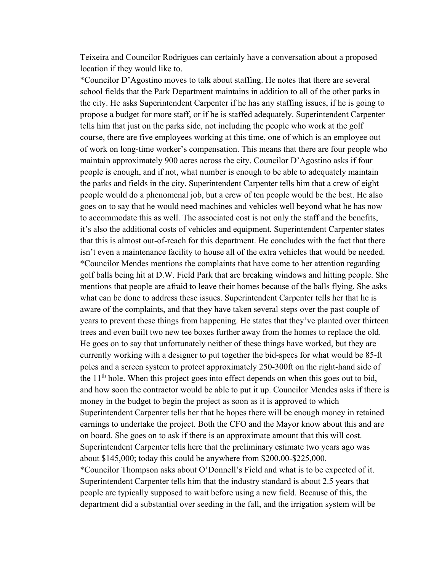Teixeira and Councilor Rodrigues can certainly have a conversation about a proposed location if they would like to.

\*Councilor D'Agostino moves to talk about staffing. He notes that there are several school fields that the Park Department maintains in addition to all of the other parks in the city. He asks Superintendent Carpenter if he has any staffing issues, if he is going to propose a budget for more staff, or if he is staffed adequately. Superintendent Carpenter tells him that just on the parks side, not including the people who work at the golf course, there are five employees working at this time, one of which is an employee out of work on long-time worker's compensation. This means that there are four people who maintain approximately 900 acres across the city. Councilor D'Agostino asks if four people is enough, and if not, what number is enough to be able to adequately maintain the parks and fields in the city. Superintendent Carpenter tells him that a crew of eight people would do a phenomenal job, but a crew of ten people would be the best. He also goes on to say that he would need machines and vehicles well beyond what he has now to accommodate this as well. The associated cost is not only the staff and the benefits, it's also the additional costs of vehicles and equipment. Superintendent Carpenter states that this is almost out-of-reach for this department. He concludes with the fact that there isn't even a maintenance facility to house all of the extra vehicles that would be needed. \*Councilor Mendes mentions the complaints that have come to her attention regarding golf balls being hit at D.W. Field Park that are breaking windows and hitting people. She mentions that people are afraid to leave their homes because of the balls flying. She asks what can be done to address these issues. Superintendent Carpenter tells her that he is aware of the complaints, and that they have taken several steps over the past couple of years to prevent these things from happening. He states that they've planted over thirteen trees and even built two new tee boxes further away from the homes to replace the old. He goes on to say that unfortunately neither of these things have worked, but they are currently working with a designer to put together the bid-specs for what would be 85-ft poles and a screen system to protect approximately 250-300ft on the right-hand side of the  $11<sup>th</sup>$  hole. When this project goes into effect depends on when this goes out to bid, and how soon the contractor would be able to put it up. Councilor Mendes asks if there is money in the budget to begin the project as soon as it is approved to which Superintendent Carpenter tells her that he hopes there will be enough money in retained earnings to undertake the project. Both the CFO and the Mayor know about this and are on board. She goes on to ask if there is an approximate amount that this will cost. Superintendent Carpenter tells here that the preliminary estimate two years ago was about \$145,000; today this could be anywhere from \$200,00-\$225,000. \*Councilor Thompson asks about O'Donnell's Field and what is to be expected of it. Superintendent Carpenter tells him that the industry standard is about 2.5 years that people are typically supposed to wait before using a new field. Because of this, the department did a substantial over seeding in the fall, and the irrigation system will be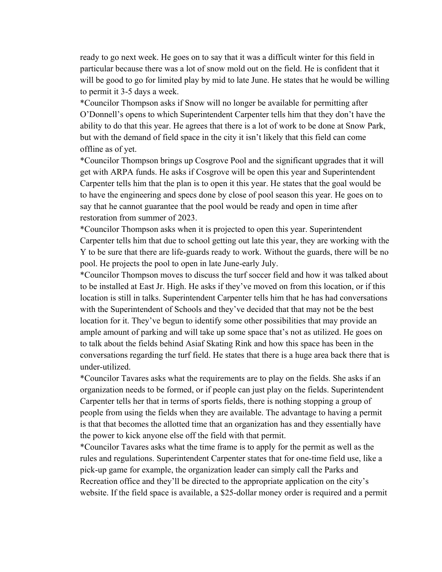ready to go next week. He goes on to say that it was a difficult winter for this field in particular because there was a lot of snow mold out on the field. He is confident that it will be good to go for limited play by mid to late June. He states that he would be willing to permit it 3-5 days a week.

\*Councilor Thompson asks if Snow will no longer be available for permitting after O'Donnell's opens to which Superintendent Carpenter tells him that they don't have the ability to do that this year. He agrees that there is a lot of work to be done at Snow Park, but with the demand of field space in the city it isn't likely that this field can come offline as of yet.

\*Councilor Thompson brings up Cosgrove Pool and the significant upgrades that it will get with ARPA funds. He asks if Cosgrove will be open this year and Superintendent Carpenter tells him that the plan is to open it this year. He states that the goal would be to have the engineering and specs done by close of pool season this year. He goes on to say that he cannot guarantee that the pool would be ready and open in time after restoration from summer of 2023.

\*Councilor Thompson asks when it is projected to open this year. Superintendent Carpenter tells him that due to school getting out late this year, they are working with the Y to be sure that there are life-guards ready to work. Without the guards, there will be no pool. He projects the pool to open in late June-early July.

\*Councilor Thompson moves to discuss the turf soccer field and how it was talked about to be installed at East Jr. High. He asks if they've moved on from this location, or if this location is still in talks. Superintendent Carpenter tells him that he has had conversations with the Superintendent of Schools and they've decided that that may not be the best location for it. They've begun to identify some other possibilities that may provide an ample amount of parking and will take up some space that's not as utilized. He goes on to talk about the fields behind Asiaf Skating Rink and how this space has been in the conversations regarding the turf field. He states that there is a huge area back there that is under-utilized.

\*Councilor Tavares asks what the requirements are to play on the fields. She asks if an organization needs to be formed, or if people can just play on the fields. Superintendent Carpenter tells her that in terms of sports fields, there is nothing stopping a group of people from using the fields when they are available. The advantage to having a permit is that that becomes the allotted time that an organization has and they essentially have the power to kick anyone else off the field with that permit.

\*Councilor Tavares asks what the time frame is to apply for the permit as well as the rules and regulations. Superintendent Carpenter states that for one-time field use, like a pick-up game for example, the organization leader can simply call the Parks and Recreation office and they'll be directed to the appropriate application on the city's website. If the field space is available, a \$25-dollar money order is required and a permit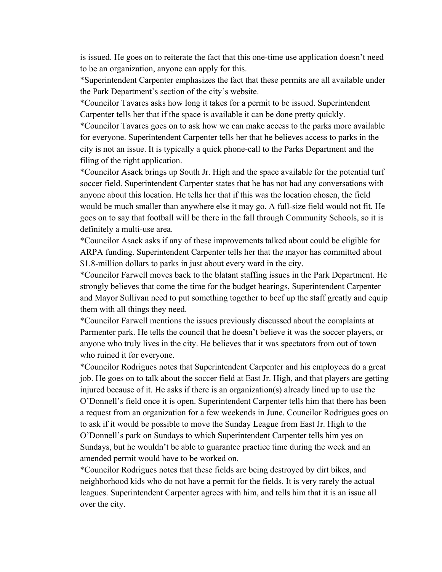is issued. He goes on to reiterate the fact that this one-time use application doesn't need to be an organization, anyone can apply for this.

\*Superintendent Carpenter emphasizes the fact that these permits are all available under the Park Department's section of the city's website.

\*Councilor Tavares asks how long it takes for a permit to be issued. Superintendent Carpenter tells her that if the space is available it can be done pretty quickly.

\*Councilor Tavares goes on to ask how we can make access to the parks more available for everyone. Superintendent Carpenter tells her that he believes access to parks in the city is not an issue. It is typically a quick phone-call to the Parks Department and the filing of the right application.

\*Councilor Asack brings up South Jr. High and the space available for the potential turf soccer field. Superintendent Carpenter states that he has not had any conversations with anyone about this location. He tells her that if this was the location chosen, the field would be much smaller than anywhere else it may go. A full-size field would not fit. He goes on to say that football will be there in the fall through Community Schools, so it is definitely a multi-use area.

\*Councilor Asack asks if any of these improvements talked about could be eligible for ARPA funding. Superintendent Carpenter tells her that the mayor has committed about \$1.8-million dollars to parks in just about every ward in the city.

\*Councilor Farwell moves back to the blatant staffing issues in the Park Department. He strongly believes that come the time for the budget hearings, Superintendent Carpenter and Mayor Sullivan need to put something together to beef up the staff greatly and equip them with all things they need.

\*Councilor Farwell mentions the issues previously discussed about the complaints at Parmenter park. He tells the council that he doesn't believe it was the soccer players, or anyone who truly lives in the city. He believes that it was spectators from out of town who ruined it for everyone.

\*Councilor Rodrigues notes that Superintendent Carpenter and his employees do a great job. He goes on to talk about the soccer field at East Jr. High, and that players are getting injured because of it. He asks if there is an organization(s) already lined up to use the O'Donnell's field once it is open. Superintendent Carpenter tells him that there has been a request from an organization for a few weekends in June. Councilor Rodrigues goes on to ask if it would be possible to move the Sunday League from East Jr. High to the O'Donnell's park on Sundays to which Superintendent Carpenter tells him yes on Sundays, but he wouldn't be able to guarantee practice time during the week and an amended permit would have to be worked on.

\*Councilor Rodrigues notes that these fields are being destroyed by dirt bikes, and neighborhood kids who do not have a permit for the fields. It is very rarely the actual leagues. Superintendent Carpenter agrees with him, and tells him that it is an issue all over the city.